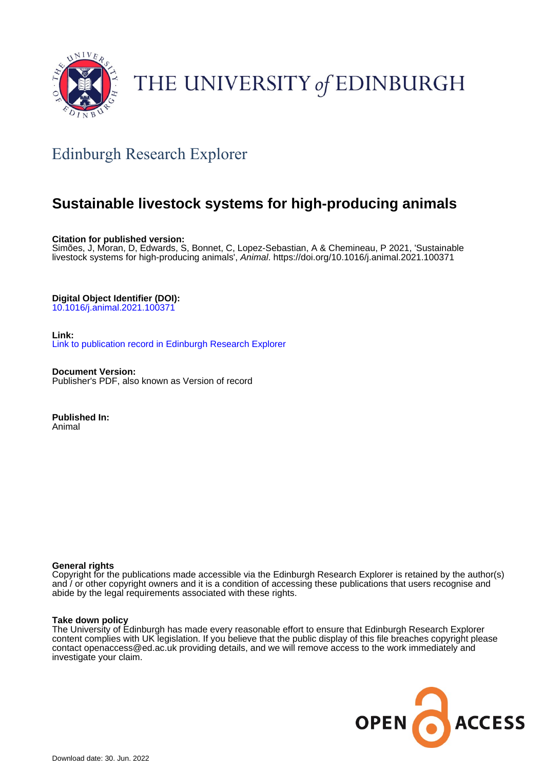

# THE UNIVERSITY of EDINBURGH

## Edinburgh Research Explorer

## **Sustainable livestock systems for high-producing animals**

**Citation for published version:**

Simões, J, Moran, D, Edwards, S, Bonnet, C, Lopez-Sebastian, A & Chemineau, P 2021, 'Sustainable livestock systems for high-producing animals', Animal. <https://doi.org/10.1016/j.animal.2021.100371>

## **Digital Object Identifier (DOI):**

[10.1016/j.animal.2021.100371](https://doi.org/10.1016/j.animal.2021.100371)

**Link:**

[Link to publication record in Edinburgh Research Explorer](https://www.research.ed.ac.uk/en/publications/2e8d983d-aa03-4057-b92f-d4d93ab0c54c)

**Document Version:** Publisher's PDF, also known as Version of record

**Published In:** Animal

## **General rights**

Copyright for the publications made accessible via the Edinburgh Research Explorer is retained by the author(s) and / or other copyright owners and it is a condition of accessing these publications that users recognise and abide by the legal requirements associated with these rights.

## **Take down policy**

The University of Edinburgh has made every reasonable effort to ensure that Edinburgh Research Explorer content complies with UK legislation. If you believe that the public display of this file breaches copyright please contact openaccess@ed.ac.uk providing details, and we will remove access to the work immediately and investigate your claim.

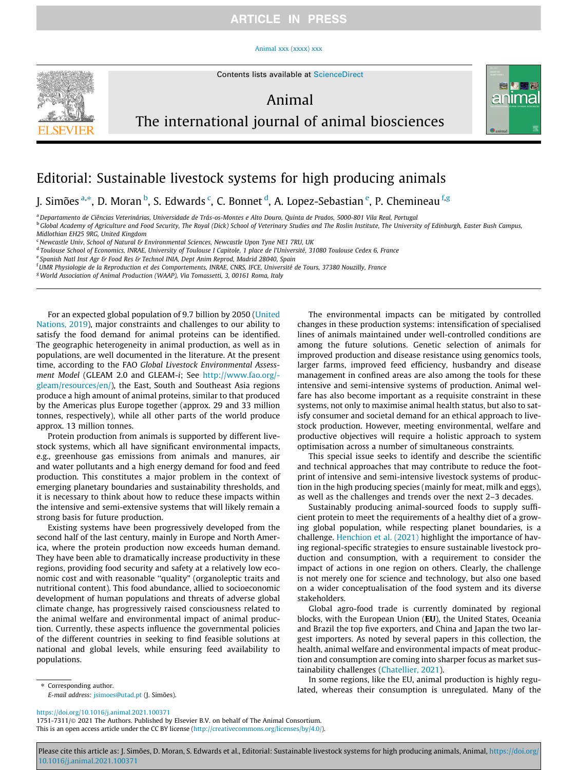## **ARTICLE IN PRESS**

#### [Animal xxx \(xxxx\) xxx](https://doi.org/10.1016/j.animal.2021.100371)



Contents lists available at [ScienceDirect](http://www.sciencedirect.com/science/journal/17517311)

## Animal



## The international journal of animal biosciences

## Editorial: Sustainable livestock systems for high producing animals

J. Simões <sup>a,</sup>\*, D. Moran <sup>b</sup>, S. Edwards <sup>c</sup>, C. Bonnet <sup>d</sup>, A. Lopez-Sebastian <sup>e</sup>, P. Chemineau <sup>f.g</sup>

a Departamento de Ciências Veterinárias, Universidade de Trás-os-Montes e Alto Douro, Quinta de Prados, 5000-801 Vila Real, Portugal

<sup>b</sup> Global Academy of Agriculture and Food Security, The Royal (Dick) School of Veterinary Studies and The Roslin Institute, The University of Edinburgh, Easter Bush Campus, Midlothian EH25 9RG, United Kingdom

 $c$  Newcastle Univ, School of Natural & Environmental Sciences, Newcastle Upon Tyne NE1 7RU, UK

<sup>d</sup> Toulouse School of Economics, INRAE, University of Toulouse I Capitole, 1 place de l'Université, 31080 Toulouse Cedex 6, France

e Spanish Natl Inst Agr & Food Res & Technol INIA, Dept Anim Reprod, Madrid 28040, Spain

f UMR Physiologie de la Reproduction et des Comportements, INRAE, CNRS, IFCE, Université de Tours, 37380 Nouzilly, France

<sup>g</sup>World Association of Animal Production (WAAP), Via Tomassetti, 3, 00161 Roma, Italy

For an expected global population of 9.7 billion by 2050 [\(United](#page-3-0) [Nations, 2019](#page-3-0)), major constraints and challenges to our ability to satisfy the food demand for animal proteins can be identified. The geographic heterogeneity in animal production, as well as in populations, are well documented in the literature. At the present time, according to the FAO Global Livestock Environmental Assessment Model (GLEAM 2.0 and GLEAM-i; See [http://www.fao.org/](http://www.fao.org/gleam/resources/en/) [gleam/resources/en/](http://www.fao.org/gleam/resources/en/)), the East, South and Southeast Asia regions produce a high amount of animal proteins, similar to that produced by the Americas plus Europe together (approx. 29 and 33 million tonnes, respectively), while all other parts of the world produce approx. 13 million tonnes.

Protein production from animals is supported by different livestock systems, which all have significant environmental impacts, e.g., greenhouse gas emissions from animals and manures, air and water pollutants and a high energy demand for food and feed production. This constitutes a major problem in the context of emerging planetary boundaries and sustainability thresholds, and it is necessary to think about how to reduce these impacts within the intensive and semi-extensive systems that will likely remain a strong basis for future production.

Existing systems have been progressively developed from the second half of the last century, mainly in Europe and North America, where the protein production now exceeds human demand. They have been able to dramatically increase productivity in these regions, providing food security and safety at a relatively low economic cost and with reasonable ''quality" (organoleptic traits and nutritional content). This food abundance, allied to socioeconomic development of human populations and threats of adverse global climate change, has progressively raised consciousness related to the animal welfare and environmental impact of animal production. Currently, these aspects influence the governmental policies of the different countries in seeking to find feasible solutions at national and global levels, while ensuring feed availability to populations.

The environmental impacts can be mitigated by controlled changes in these production systems: intensification of specialised lines of animals maintained under well-controlled conditions are among the future solutions. Genetic selection of animals for improved production and disease resistance using genomics tools, larger farms, improved feed efficiency, husbandry and disease management in confined areas are also among the tools for these intensive and semi-intensive systems of production. Animal welfare has also become important as a requisite constraint in these systems, not only to maximise animal health status, but also to satisfy consumer and societal demand for an ethical approach to livestock production. However, meeting environmental, welfare and productive objectives will require a holistic approach to system optimisation across a number of simultaneous constraints.

This special issue seeks to identify and describe the scientific and technical approaches that may contribute to reduce the footprint of intensive and semi-intensive livestock systems of production in the high producing species (mainly for meat, milk and eggs), as well as the challenges and trends over the next 2–3 decades.

Sustainably producing animal-sourced foods to supply sufficient protein to meet the requirements of a healthy diet of a growing global population, while respecting planet boundaries, is a challenge. [Henchion et al. \(2021\)](#page-3-0) highlight the importance of having regional-specific strategies to ensure sustainable livestock production and consumption, with a requirement to consider the impact of actions in one region on others. Clearly, the challenge is not merely one for science and technology, but also one based on a wider conceptualisation of the food system and its diverse stakeholders.

Global agro-food trade is currently dominated by regional blocks, with the European Union (EU), the United States, Oceania and Brazil the top five exporters, and China and Japan the two largest importers. As noted by several papers in this collection, the health, animal welfare and environmental impacts of meat production and consumption are coming into sharper focus as market sustainability challenges [\(Chatellier, 2021](#page-3-0)).

In some regions, like the EU, animal production is highly regulated, whereas their consumption is unregulated. Many of the

## <https://doi.org/10.1016/j.animal.2021.100371>

E-mail address: [jsimoes@utad.pt](mailto:jsimoes@utad.pt) (J. Simões).

⇑ Corresponding author.

1751-7311/© 2021 The Authors. Published by Elsevier B.V. on behalf of The Animal Consortium. This is an open access article under the CC BY license ([http://creativecommons.org/licenses/by/4.0/\)](http://creativecommons.org/licenses/by/4.0/).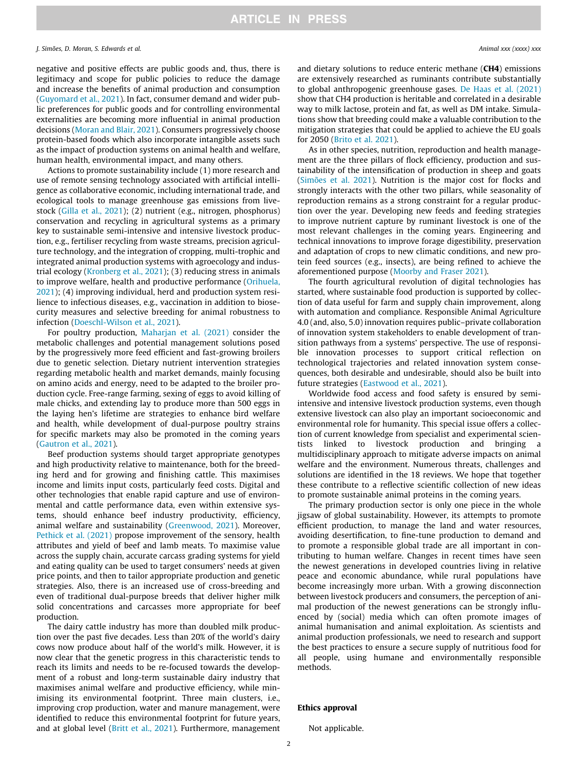#### J. Simões, D. Moran, S. Edwards et al. Animal xxx (xxxx) xxx

negative and positive effects are public goods and, thus, there is legitimacy and scope for public policies to reduce the damage and increase the benefits of animal production and consumption ([Guyomard et al., 2021\)](#page-3-0). In fact, consumer demand and wider public preferences for public goods and for controlling environmental externalities are becoming more influential in animal production decisions [\(Moran and Blair, 2021](#page-3-0)). Consumers progressively choose protein-based foods which also incorporate intangible assets such as the impact of production systems on animal health and welfare, human health, environmental impact, and many others.

Actions to promote sustainability include (1) more research and use of remote sensing technology associated with artificial intelligence as collaborative economic, including international trade, and ecological tools to manage greenhouse gas emissions from livestock [\(Gilla et al., 2021\)](#page-3-0); (2) nutrient (e.g., nitrogen, phosphorus) conservation and recycling in agricultural systems as a primary key to sustainable semi-intensive and intensive livestock production, e.g., fertiliser recycling from waste streams, precision agriculture technology, and the integration of cropping, multi-trophic and integrated animal production systems with agroecology and industrial ecology ([Kronberg et al., 2021](#page-3-0)); (3) reducing stress in animals to improve welfare, health and productive performance [\(Orihuela,](#page-3-0) [2021\)](#page-3-0); (4) improving individual, herd and production system resilience to infectious diseases, e.g., vaccination in addition to biosecurity measures and selective breeding for animal robustness to infection ([Doeschl-Wilson et al., 2021](#page-3-0)).

For poultry production, [Maharjan et al. \(2021\)](#page-3-0) consider the metabolic challenges and potential management solutions posed by the progressively more feed efficient and fast-growing broilers due to genetic selection. Dietary nutrient intervention strategies regarding metabolic health and market demands, mainly focusing on amino acids and energy, need to be adapted to the broiler production cycle. Free-range farming, sexing of eggs to avoid killing of male chicks, and extending lay to produce more than 500 eggs in the laying hen's lifetime are strategies to enhance bird welfare and health, while development of dual-purpose poultry strains for specific markets may also be promoted in the coming years ([Gautron et al., 2021](#page-3-0)).

Beef production systems should target appropriate genotypes and high productivity relative to maintenance, both for the breeding herd and for growing and finishing cattle. This maximises income and limits input costs, particularly feed costs. Digital and other technologies that enable rapid capture and use of environmental and cattle performance data, even within extensive systems, should enhance beef industry productivity, efficiency, animal welfare and sustainability ([Greenwood, 2021\)](#page-3-0). Moreover, [Pethick et al. \(2021\)](#page-3-0) propose improvement of the sensory, health attributes and yield of beef and lamb meats. To maximise value across the supply chain, accurate carcass grading systems for yield and eating quality can be used to target consumers' needs at given price points, and then to tailor appropriate production and genetic strategies. Also, there is an increased use of cross-breeding and even of traditional dual-purpose breeds that deliver higher milk solid concentrations and carcasses more appropriate for beef production.

The dairy cattle industry has more than doubled milk production over the past five decades. Less than 20% of the world's dairy cows now produce about half of the world's milk. However, it is now clear that the genetic progress in this characteristic tends to reach its limits and needs to be re-focused towards the development of a robust and long-term sustainable dairy industry that maximises animal welfare and productive efficiency, while minimising its environmental footprint. Three main clusters, i.e., improving crop production, water and manure management, were identified to reduce this environmental footprint for future years, and at global level [\(Britt et al., 2021](#page-3-0)). Furthermore, management

and dietary solutions to reduce enteric methane (CH4) emissions are extensively researched as ruminants contribute substantially to global anthropogenic greenhouse gases. [De Haas et al. \(2021\)](#page-3-0) show that CH4 production is heritable and correlated in a desirable way to milk lactose, protein and fat, as well as DM intake. Simulations show that breeding could make a valuable contribution to the mitigation strategies that could be applied to achieve the EU goals for 2050 [\(Brito et al. 2021\)](#page-3-0).

As in other species, nutrition, reproduction and health management are the three pillars of flock efficiency, production and sustainability of the intensification of production in sheep and goats ([Simões et al. 2021](#page-3-0)). Nutrition is the major cost for flocks and strongly interacts with the other two pillars, while seasonality of reproduction remains as a strong constraint for a regular production over the year. Developing new feeds and feeding strategies to improve nutrient capture by ruminant livestock is one of the most relevant challenges in the coming years. Engineering and technical innovations to improve forage digestibility, preservation and adaptation of crops to new climatic conditions, and new protein feed sources (e.g., insects), are being refined to achieve the aforementioned purpose [\(Moorby and Fraser 2021\)](#page-3-0).

The fourth agricultural revolution of digital technologies has started, where sustainable food production is supported by collection of data useful for farm and supply chain improvement, along with automation and compliance. Responsible Animal Agriculture 4.0 (and, also, 5.0) innovation requires public–private collaboration of innovation system stakeholders to enable development of transition pathways from a systems' perspective. The use of responsible innovation processes to support critical reflection on technological trajectories and related innovation system consequences, both desirable and undesirable, should also be built into future strategies ([Eastwood et al., 2021\)](#page-3-0).

Worldwide food access and food safety is ensured by semiintensive and intensive livestock production systems, even though extensive livestock can also play an important socioeconomic and environmental role for humanity. This special issue offers a collection of current knowledge from specialist and experimental scientists linked to livestock production and bringing a multidisciplinary approach to mitigate adverse impacts on animal welfare and the environment. Numerous threats, challenges and solutions are identified in the 18 reviews. We hope that together these contribute to a reflective scientific collection of new ideas to promote sustainable animal proteins in the coming years.

The primary production sector is only one piece in the whole jigsaw of global sustainability. However, its attempts to promote efficient production, to manage the land and water resources, avoiding desertification, to fine-tune production to demand and to promote a responsible global trade are all important in contributing to human welfare. Changes in recent times have seen the newest generations in developed countries living in relative peace and economic abundance, while rural populations have become increasingly more urban. With a growing disconnection between livestock producers and consumers, the perception of animal production of the newest generations can be strongly influenced by (social) media which can often promote images of animal humanisation and animal exploitation. As scientists and animal production professionals, we need to research and support the best practices to ensure a secure supply of nutritious food for all people, using humane and environmentally responsible methods.

### Ethics approval

Not applicable.